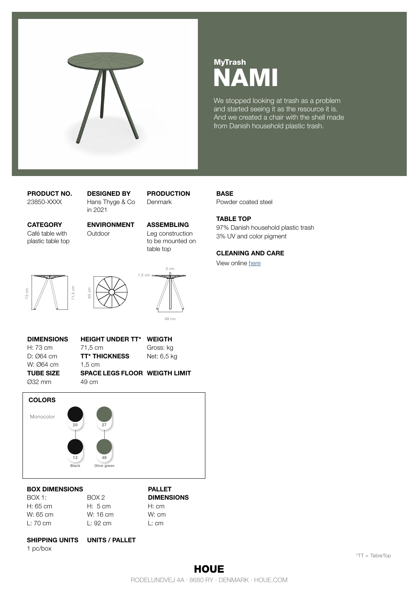

# NAMI MyTrash

We stopped looking at trash as a problem and started seeing it as the resource it is. And we created a chair with the shell made from Danish household plastic trash.

Café table with plastic table top

PRODUCT NO. DESIGNED BY PRODUCTION 23850-XXXX Hans Thyge & Co in 2021

CATEGORY ENVIRONMENT ASSEMBLING Outdoor Leg construction to be mounted on table top

Denmark





49 cm

3 cm

DIMENSIONS HEIGHT UNDER TT\* WEIGTH W: Ø64 cm 1,5 cm

H: 73 cm 71,5 cm Gross: kg D: 064 cm **TT\* THICKNESS** Net: 6,5 kg

TUBE SIZE SPACE LEGS FLOOR WEIGTH LIMIT Ø32 mm 49 cm



## BOX DIMENSIONS PALLET

| ROX1:              | BOX 2       | <b>DIMENSIONS</b> |
|--------------------|-------------|-------------------|
| H: 65 cm           | H: 5 cm     | H: cm             |
| W: 65 cm           | W: 16 cm    | W: cm             |
| $L: 70 \text{ cm}$ | $\pm$ 92 cm | L:cm              |
|                    |             |                   |

## SHIPPING UNITS UNITS / PALLET

1 pc/box

97% Danish household plastic trash 3% UV and color pigment

### CLEANING AND CARE

Powder coated steel

View online [here](https://houe.com/Download/Maintenance)

TABLE TOP

**BASE**